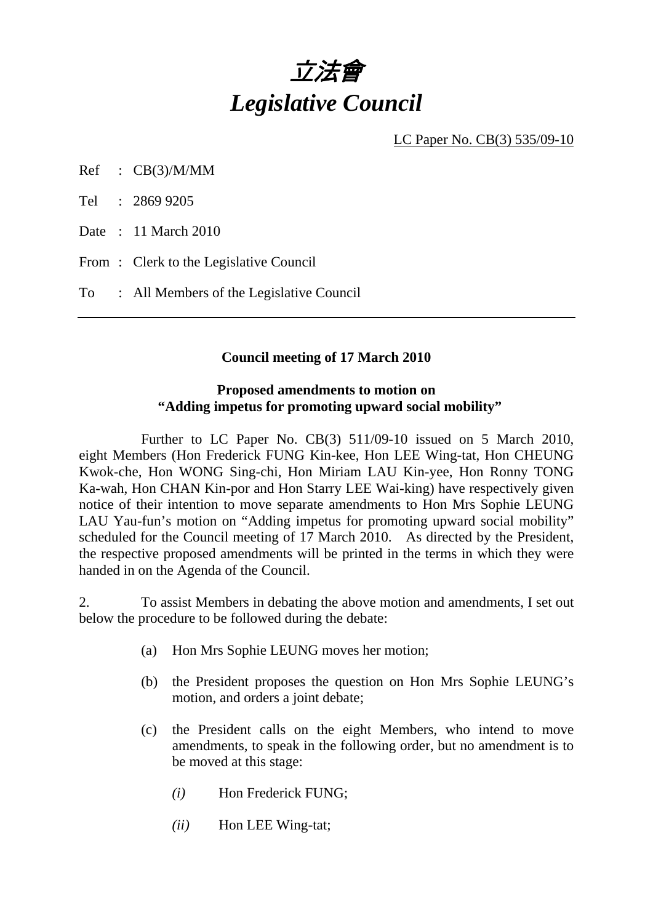# 立法會 *Legislative Council*

LC Paper No. CB(3) 535/09-10

Ref : CB(3)/M/MM

Tel : 2869 9205

Date : 11 March 2010

From : Clerk to the Legislative Council

To : All Members of the Legislative Council

## **Council meeting of 17 March 2010**

## **Proposed amendments to motion on "Adding impetus for promoting upward social mobility"**

 Further to LC Paper No. CB(3) 511/09-10 issued on 5 March 2010, eight Members (Hon Frederick FUNG Kin-kee, Hon LEE Wing-tat, Hon CHEUNG Kwok-che, Hon WONG Sing-chi, Hon Miriam LAU Kin-yee, Hon Ronny TONG Ka-wah, Hon CHAN Kin-por and Hon Starry LEE Wai-king) have respectively given notice of their intention to move separate amendments to Hon Mrs Sophie LEUNG LAU Yau-fun's motion on "Adding impetus for promoting upward social mobility" scheduled for the Council meeting of 17 March 2010. As directed by the President, the respective proposed amendments will be printed in the terms in which they were handed in on the Agenda of the Council.

2. To assist Members in debating the above motion and amendments, I set out below the procedure to be followed during the debate:

- (a) Hon Mrs Sophie LEUNG moves her motion;
- (b) the President proposes the question on Hon Mrs Sophie LEUNG's motion, and orders a joint debate;
- (c) the President calls on the eight Members, who intend to move amendments, to speak in the following order, but no amendment is to be moved at this stage:
	- *(i)* Hon Frederick FUNG;
	- *(ii)* Hon LEE Wing-tat;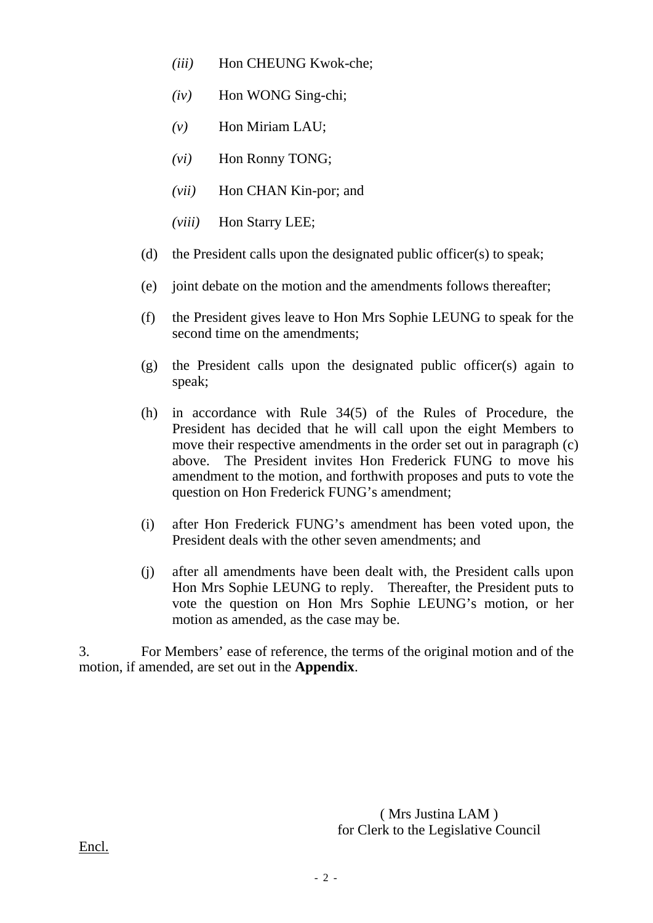- *(iii)* Hon CHEUNG Kwok-che;
- *(iv)* Hon WONG Sing-chi;
- *(v)* Hon Miriam LAU;
- *(vi)* Hon Ronny TONG;
- *(vii)* Hon CHAN Kin-por; and
- *(viii)* Hon Starry LEE;
- (d) the President calls upon the designated public officer(s) to speak;
- (e) joint debate on the motion and the amendments follows thereafter;
- (f) the President gives leave to Hon Mrs Sophie LEUNG to speak for the second time on the amendments;
- (g) the President calls upon the designated public officer(s) again to speak;
- (h) in accordance with Rule 34(5) of the Rules of Procedure, the President has decided that he will call upon the eight Members to move their respective amendments in the order set out in paragraph (c) above. The President invites Hon Frederick FUNG to move his amendment to the motion, and forthwith proposes and puts to vote the question on Hon Frederick FUNG's amendment;
- (i) after Hon Frederick FUNG's amendment has been voted upon, the President deals with the other seven amendments; and
- (j) after all amendments have been dealt with, the President calls upon Hon Mrs Sophie LEUNG to reply. Thereafter, the President puts to vote the question on Hon Mrs Sophie LEUNG's motion, or her motion as amended, as the case may be.

3. For Members' ease of reference, the terms of the original motion and of the motion, if amended, are set out in the **Appendix**.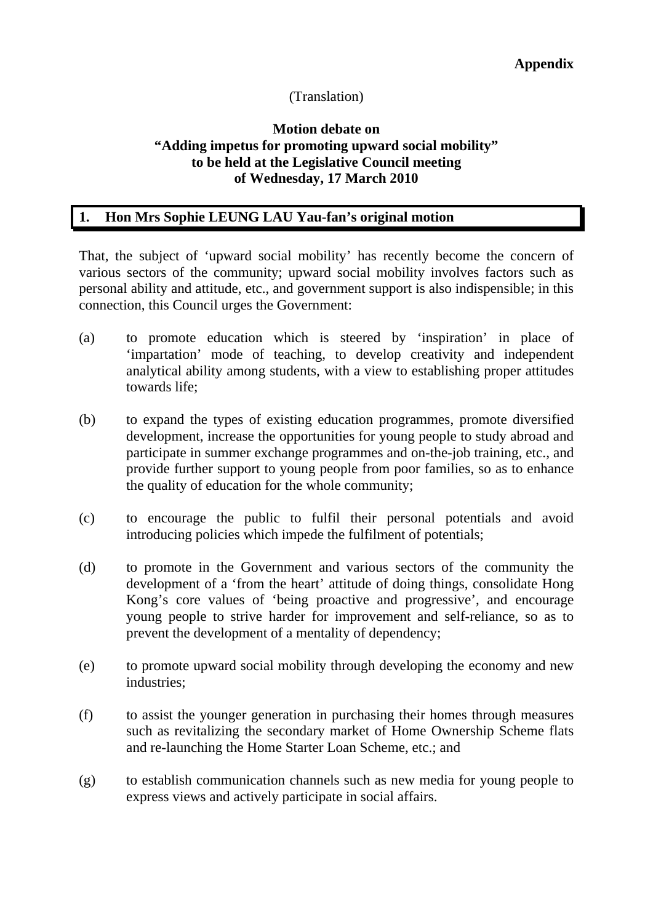## (Translation)

## **Motion debate on "Adding impetus for promoting upward social mobility" to be held at the Legislative Council meeting of Wednesday, 17 March 2010**

## **1. Hon Mrs Sophie LEUNG LAU Yau-fan's original motion**

That, the subject of 'upward social mobility' has recently become the concern of various sectors of the community; upward social mobility involves factors such as personal ability and attitude, etc., and government support is also indispensible; in this connection, this Council urges the Government:

- (a) to promote education which is steered by 'inspiration' in place of 'impartation' mode of teaching, to develop creativity and independent analytical ability among students, with a view to establishing proper attitudes towards life;
- (b) to expand the types of existing education programmes, promote diversified development, increase the opportunities for young people to study abroad and participate in summer exchange programmes and on-the-job training, etc., and provide further support to young people from poor families, so as to enhance the quality of education for the whole community;
- (c) to encourage the public to fulfil their personal potentials and avoid introducing policies which impede the fulfilment of potentials;
- (d) to promote in the Government and various sectors of the community the development of a 'from the heart' attitude of doing things, consolidate Hong Kong's core values of 'being proactive and progressive', and encourage young people to strive harder for improvement and self-reliance, so as to prevent the development of a mentality of dependency;
- (e) to promote upward social mobility through developing the economy and new industries;
- (f) to assist the younger generation in purchasing their homes through measures such as revitalizing the secondary market of Home Ownership Scheme flats and re-launching the Home Starter Loan Scheme, etc.; and
- (g) to establish communication channels such as new media for young people to express views and actively participate in social affairs.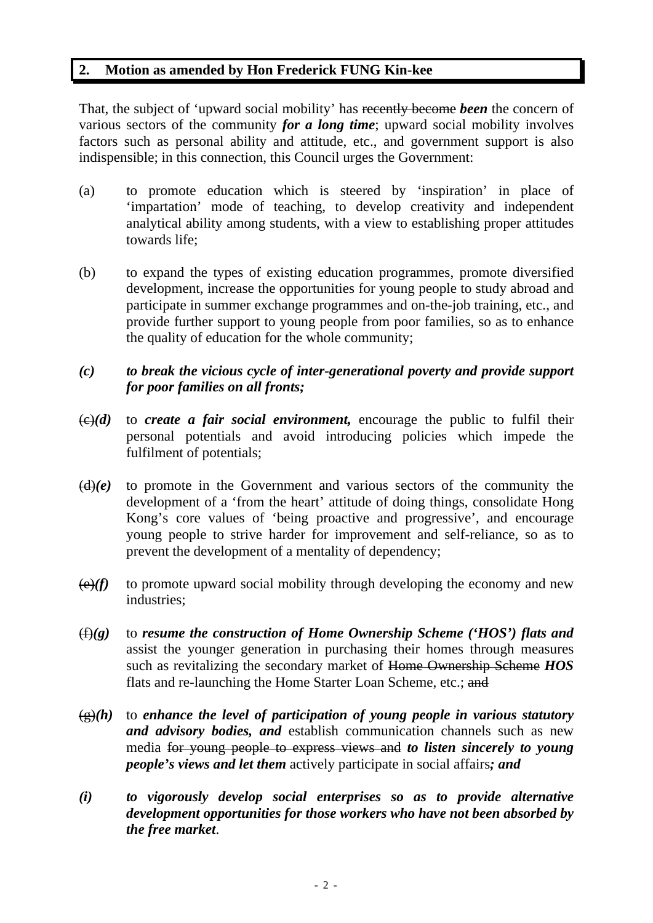## **2. Motion as amended by Hon Frederick FUNG Kin-kee**

That, the subject of 'upward social mobility' has recently become *been* the concern of various sectors of the community *for a long time*; upward social mobility involves factors such as personal ability and attitude, etc., and government support is also indispensible; in this connection, this Council urges the Government:

- (a) to promote education which is steered by 'inspiration' in place of 'impartation' mode of teaching, to develop creativity and independent analytical ability among students, with a view to establishing proper attitudes towards life;
- (b) to expand the types of existing education programmes, promote diversified development, increase the opportunities for young people to study abroad and participate in summer exchange programmes and on-the-job training, etc., and provide further support to young people from poor families, so as to enhance the quality of education for the whole community;

# *(c) to break the vicious cycle of inter-generational poverty and provide support for poor families on all fronts;*

- $\left(\frac{c}{c}\right)(d)$  to *create a fair social environment*, encourage the public to fulfil their personal potentials and avoid introducing policies which impede the fulfilment of potentials;
- $(d)(e)$  to promote in the Government and various sectors of the community the development of a 'from the heart' attitude of doing things, consolidate Hong Kong's core values of 'being proactive and progressive', and encourage young people to strive harder for improvement and self-reliance, so as to prevent the development of a mentality of dependency;
- $\left(\frac{\theta}{f}\right)$  to promote upward social mobility through developing the economy and new industries;
- (f)*(g)* to *resume the construction of Home Ownership Scheme ('HOS') flats and* assist the younger generation in purchasing their homes through measures such as revitalizing the secondary market of Home Ownership Scheme *HOS* flats and re-launching the Home Starter Loan Scheme, etc.; and
- $\sqrt{g(x)}$  to enhance the level of participation of young people in various statutory *and advisory bodies, and* establish communication channels such as new media for young people to express views and *to listen sincerely to young people's views and let them* actively participate in social affairs*; and*
- *(i) to vigorously develop social enterprises so as to provide alternative development opportunities for those workers who have not been absorbed by the free market*.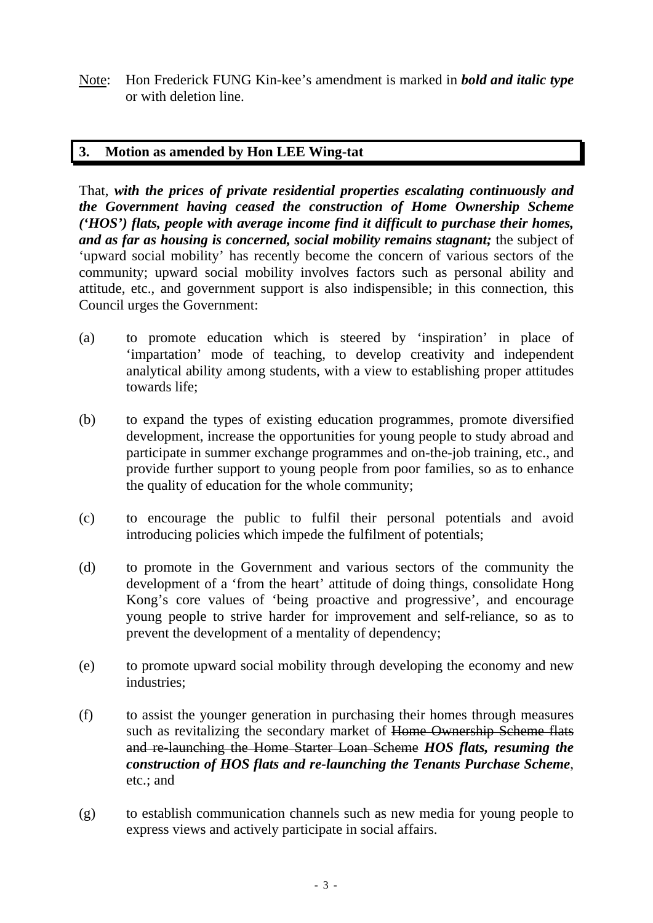Note: Hon Frederick FUNG Kin-kee's amendment is marked in *bold and italic type* or with deletion line.

# **3. Motion as amended by Hon LEE Wing-tat**

That, *with the prices of private residential properties escalating continuously and the Government having ceased the construction of Home Ownership Scheme ('HOS') flats, people with average income find it difficult to purchase their homes, and as far as housing is concerned, social mobility remains stagnant;* the subject of 'upward social mobility' has recently become the concern of various sectors of the community; upward social mobility involves factors such as personal ability and attitude, etc., and government support is also indispensible; in this connection, this Council urges the Government:

- (a) to promote education which is steered by 'inspiration' in place of 'impartation' mode of teaching, to develop creativity and independent analytical ability among students, with a view to establishing proper attitudes towards life;
- (b) to expand the types of existing education programmes, promote diversified development, increase the opportunities for young people to study abroad and participate in summer exchange programmes and on-the-job training, etc., and provide further support to young people from poor families, so as to enhance the quality of education for the whole community;
- (c) to encourage the public to fulfil their personal potentials and avoid introducing policies which impede the fulfilment of potentials;
- (d) to promote in the Government and various sectors of the community the development of a 'from the heart' attitude of doing things, consolidate Hong Kong's core values of 'being proactive and progressive', and encourage young people to strive harder for improvement and self-reliance, so as to prevent the development of a mentality of dependency;
- (e) to promote upward social mobility through developing the economy and new industries;
- (f) to assist the younger generation in purchasing their homes through measures such as revitalizing the secondary market of Home Ownership Scheme flats and re-launching the Home Starter Loan Scheme *HOS flats, resuming the construction of HOS flats and re-launching the Tenants Purchase Scheme*, etc.; and
- (g) to establish communication channels such as new media for young people to express views and actively participate in social affairs.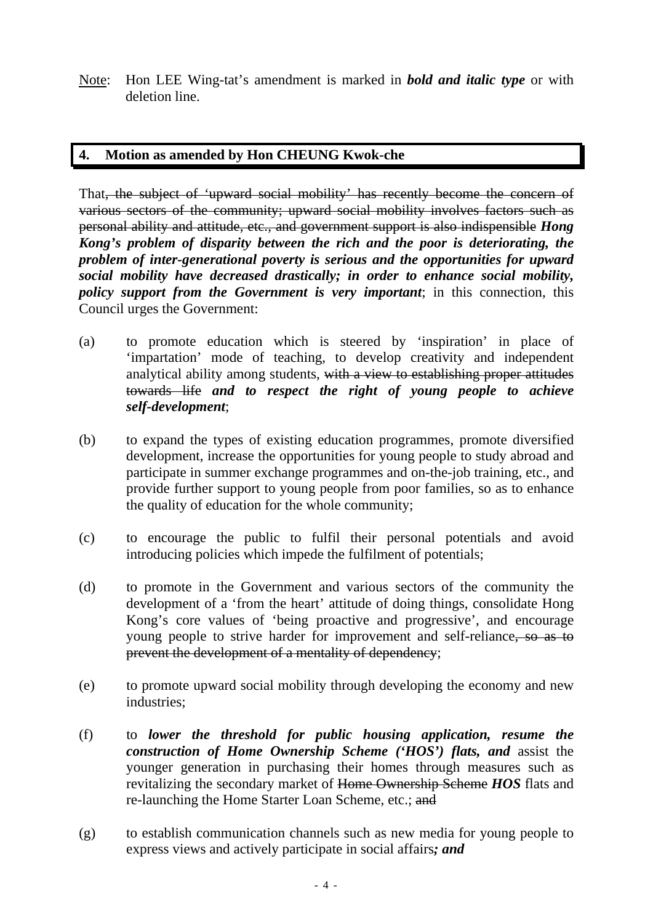Note: Hon LEE Wing-tat's amendment is marked in *bold and italic type* or with deletion line.

# **4. Motion as amended by Hon CHEUNG Kwok-che**

That, the subject of 'upward social mobility' has recently become the concern of various sectors of the community; upward social mobility involves factors such as personal ability and attitude, etc., and government support is also indispensible *Hong Kong's problem of disparity between the rich and the poor is deteriorating, the problem of inter-generational poverty is serious and the opportunities for upward social mobility have decreased drastically; in order to enhance social mobility, policy support from the Government is very important*; in this connection, this Council urges the Government:

- (a) to promote education which is steered by 'inspiration' in place of 'impartation' mode of teaching, to develop creativity and independent analytical ability among students, with a view to establishing proper attitudes towards life *and to respect the right of young people to achieve self-development*;
- (b) to expand the types of existing education programmes, promote diversified development, increase the opportunities for young people to study abroad and participate in summer exchange programmes and on-the-job training, etc., and provide further support to young people from poor families, so as to enhance the quality of education for the whole community;
- (c) to encourage the public to fulfil their personal potentials and avoid introducing policies which impede the fulfilment of potentials;
- (d) to promote in the Government and various sectors of the community the development of a 'from the heart' attitude of doing things, consolidate Hong Kong's core values of 'being proactive and progressive', and encourage young people to strive harder for improvement and self-reliance, so as to prevent the development of a mentality of dependency;
- (e) to promote upward social mobility through developing the economy and new industries;
- (f) to *lower the threshold for public housing application, resume the construction of Home Ownership Scheme ('HOS') flats, and* assist the younger generation in purchasing their homes through measures such as revitalizing the secondary market of Home Ownership Scheme *HOS* flats and re-launching the Home Starter Loan Scheme, etc.; and
- (g) to establish communication channels such as new media for young people to express views and actively participate in social affairs*; and*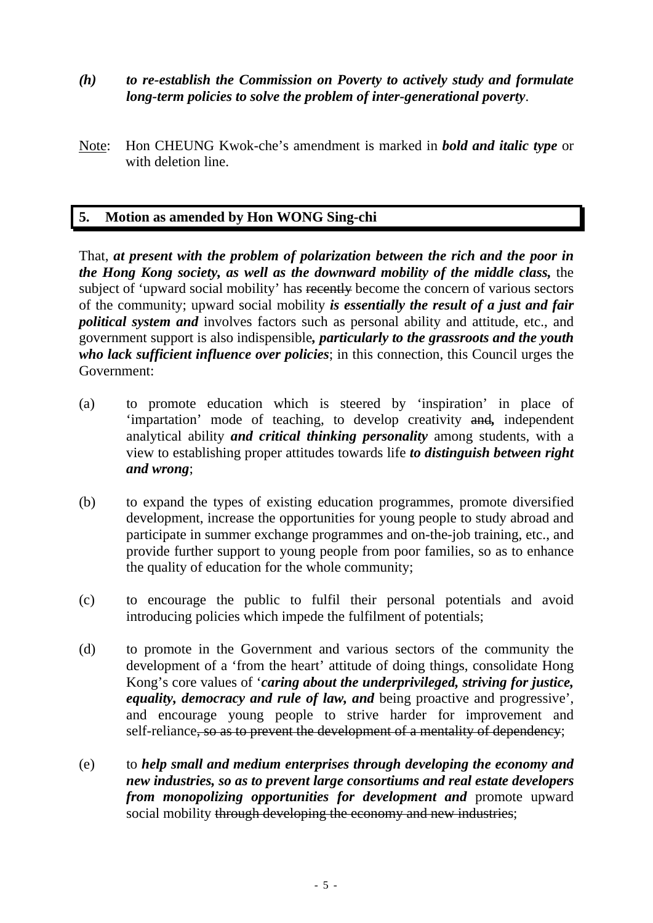- *(h) to re-establish the Commission on Poverty to actively study and formulate long-term policies to solve the problem of inter-generational poverty*.
- Note: Hon CHEUNG Kwok-che's amendment is marked in *bold and italic type* or with deletion line.

# **5. Motion as amended by Hon WONG Sing-chi**

That, *at present with the problem of polarization between the rich and the poor in the Hong Kong society, as well as the downward mobility of the middle class,* the subject of 'upward social mobility' has recently become the concern of various sectors of the community; upward social mobility *is essentially the result of a just and fair political system and* involves factors such as personal ability and attitude, etc., and government support is also indispensible*, particularly to the grassroots and the youth who lack sufficient influence over policies*; in this connection, this Council urges the Government:

- (a) to promote education which is steered by 'inspiration' in place of 'impartation' mode of teaching, to develop creativity and*,* independent analytical ability *and critical thinking personality* among students, with a view to establishing proper attitudes towards life *to distinguish between right and wrong*;
- (b) to expand the types of existing education programmes, promote diversified development, increase the opportunities for young people to study abroad and participate in summer exchange programmes and on-the-job training, etc., and provide further support to young people from poor families, so as to enhance the quality of education for the whole community;
- (c) to encourage the public to fulfil their personal potentials and avoid introducing policies which impede the fulfilment of potentials;
- (d) to promote in the Government and various sectors of the community the development of a 'from the heart' attitude of doing things, consolidate Hong Kong's core values of '*caring about the underprivileged, striving for justice, equality, democracy and rule of law, and* being proactive and progressive', and encourage young people to strive harder for improvement and self-reliance, so as to prevent the development of a mentality of dependency;
- (e) to *help small and medium enterprises through developing the economy and new industries, so as to prevent large consortiums and real estate developers from monopolizing opportunities for development and* promote upward social mobility through developing the economy and new industries;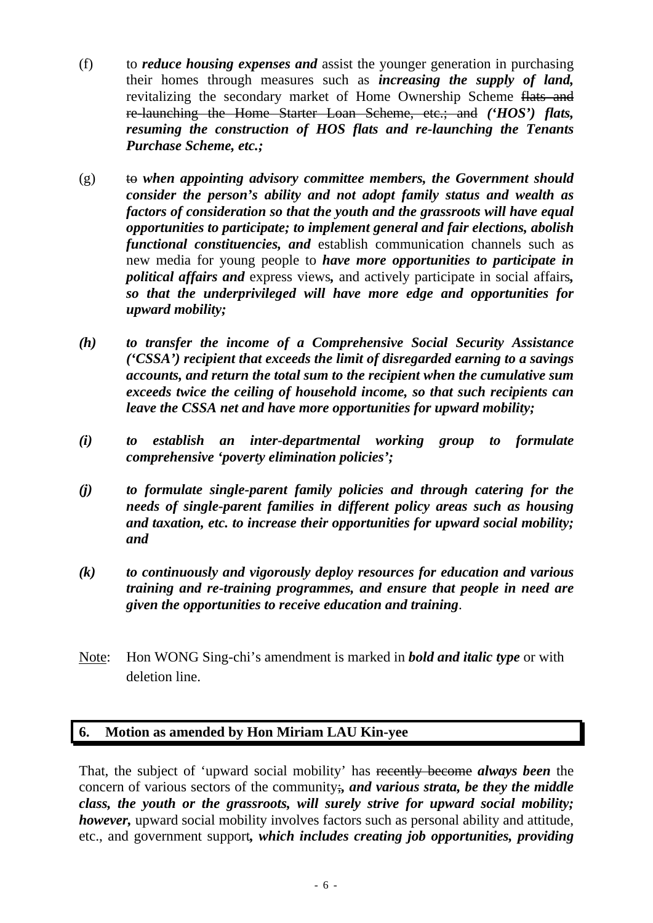- (f) to *reduce housing expenses and* assist the younger generation in purchasing their homes through measures such as *increasing the supply of land,* revitalizing the secondary market of Home Ownership Scheme flats and re-launching the Home Starter Loan Scheme, etc.; and *('HOS') flats, resuming the construction of HOS flats and re-launching the Tenants Purchase Scheme, etc.;*
- (g) to when appointing advisory committee members, the Government should *consider the person's ability and not adopt family status and wealth as factors of consideration so that the youth and the grassroots will have equal opportunities to participate; to implement general and fair elections, abolish functional constituencies, and* establish communication channels such as new media for young people to *have more opportunities to participate in political affairs and* express views*,* and actively participate in social affairs*, so that the underprivileged will have more edge and opportunities for upward mobility;*
- *(h) to transfer the income of a Comprehensive Social Security Assistance ('CSSA') recipient that exceeds the limit of disregarded earning to a savings accounts, and return the total sum to the recipient when the cumulative sum exceeds twice the ceiling of household income, so that such recipients can leave the CSSA net and have more opportunities for upward mobility;*
- *(i) to establish an inter-departmental working group to formulate comprehensive 'poverty elimination policies';*
- *(j) to formulate single-parent family policies and through catering for the needs of single-parent families in different policy areas such as housing and taxation, etc. to increase their opportunities for upward social mobility; and*
- *(k) to continuously and vigorously deploy resources for education and various training and re-training programmes, and ensure that people in need are given the opportunities to receive education and training*.
- Note: Hon WONG Sing-chi's amendment is marked in *bold and italic type* or with deletion line.

# **6. Motion as amended by Hon Miriam LAU Kin-yee**

That, the subject of 'upward social mobility' has recently become *always been* the concern of various sectors of the community;*, and various strata, be they the middle class, the youth or the grassroots, will surely strive for upward social mobility; however*, upward social mobility involves factors such as personal ability and attitude, etc., and government support*, which includes creating job opportunities, providing*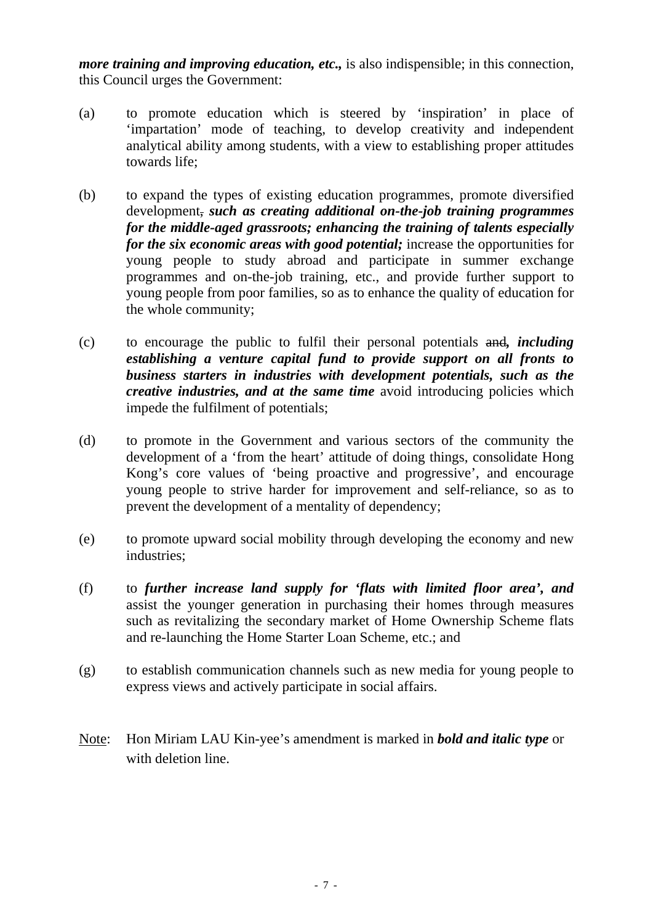*more training and improving education, etc.,* is also indispensible; in this connection, this Council urges the Government:

- (a) to promote education which is steered by 'inspiration' in place of 'impartation' mode of teaching, to develop creativity and independent analytical ability among students, with a view to establishing proper attitudes towards life;
- (b) to expand the types of existing education programmes, promote diversified development, *such as creating additional on-the-job training programmes for the middle-aged grassroots; enhancing the training of talents especially for the six economic areas with good potential;* increase the opportunities for young people to study abroad and participate in summer exchange programmes and on-the-job training, etc., and provide further support to young people from poor families, so as to enhance the quality of education for the whole community;
- (c) to encourage the public to fulfil their personal potentials and*, including establishing a venture capital fund to provide support on all fronts to business starters in industries with development potentials, such as the creative industries, and at the same time* avoid introducing policies which impede the fulfilment of potentials;
- (d) to promote in the Government and various sectors of the community the development of a 'from the heart' attitude of doing things, consolidate Hong Kong's core values of 'being proactive and progressive', and encourage young people to strive harder for improvement and self-reliance, so as to prevent the development of a mentality of dependency;
- (e) to promote upward social mobility through developing the economy and new industries;
- (f) to *further increase land supply for 'flats with limited floor area', and* assist the younger generation in purchasing their homes through measures such as revitalizing the secondary market of Home Ownership Scheme flats and re-launching the Home Starter Loan Scheme, etc.; and
- (g) to establish communication channels such as new media for young people to express views and actively participate in social affairs.
- Note: Hon Miriam LAU Kin-yee's amendment is marked in *bold and italic type* or with deletion line.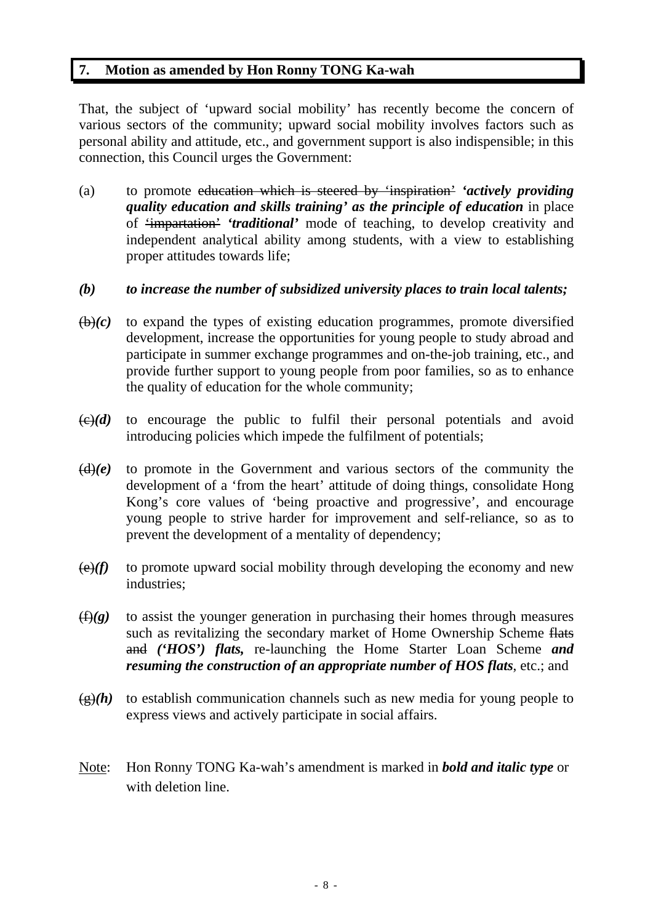## **7. Motion as amended by Hon Ronny TONG Ka-wah**

That, the subject of 'upward social mobility' has recently become the concern of various sectors of the community; upward social mobility involves factors such as personal ability and attitude, etc., and government support is also indispensible; in this connection, this Council urges the Government:

(a) to promote education which is steered by 'inspiration' *'actively providing quality education and skills training' as the principle of education* in place of 'impartation' *'traditional'* mode of teaching, to develop creativity and independent analytical ability among students, with a view to establishing proper attitudes towards life;

# *(b) to increase the number of subsidized university places to train local talents;*

- $(b)(c)$  to expand the types of existing education programmes, promote diversified development, increase the opportunities for young people to study abroad and participate in summer exchange programmes and on-the-job training, etc., and provide further support to young people from poor families, so as to enhance the quality of education for the whole community;
- $\left(\frac{c}{c}\right)(d)$  to encourage the public to fulfil their personal potentials and avoid introducing policies which impede the fulfilment of potentials;
- $(d)(e)$  to promote in the Government and various sectors of the community the development of a 'from the heart' attitude of doing things, consolidate Hong Kong's core values of 'being proactive and progressive', and encourage young people to strive harder for improvement and self-reliance, so as to prevent the development of a mentality of dependency;
- $\left(\frac{e}{f}\right)$  to promote upward social mobility through developing the economy and new industries;
- (f)*(g)* to assist the younger generation in purchasing their homes through measures such as revitalizing the secondary market of Home Ownership Scheme flats and *('HOS') flats,* re-launching the Home Starter Loan Scheme *and resuming the construction of an appropriate number of HOS flats*, etc.; and
- $\frac{g(x)}{h}$  to establish communication channels such as new media for young people to express views and actively participate in social affairs.
- Note: Hon Ronny TONG Ka-wah's amendment is marked in *bold and italic type* or with deletion line.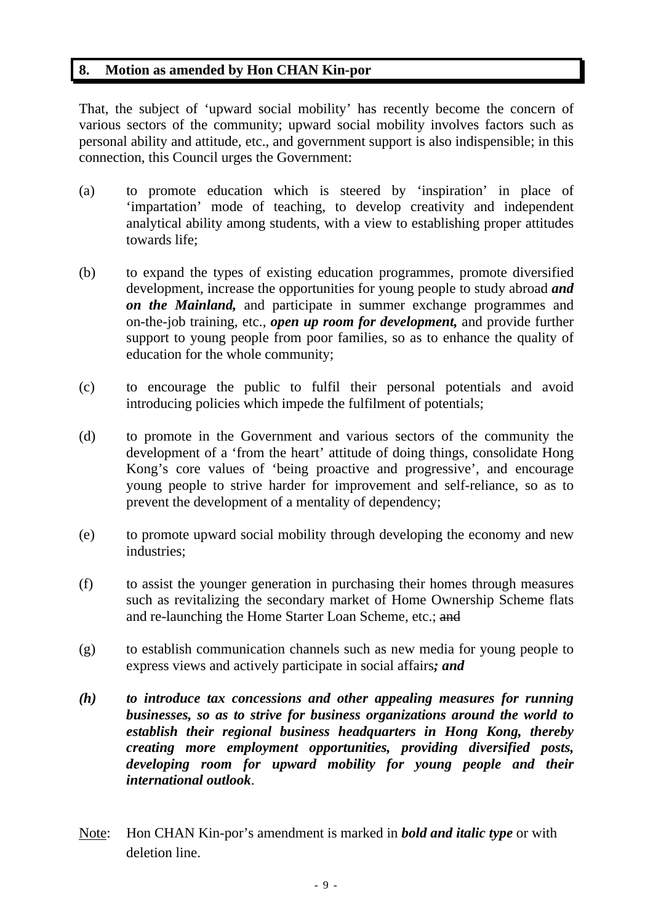## **8. Motion as amended by Hon CHAN Kin-por**

That, the subject of 'upward social mobility' has recently become the concern of various sectors of the community; upward social mobility involves factors such as personal ability and attitude, etc., and government support is also indispensible; in this connection, this Council urges the Government:

- (a) to promote education which is steered by 'inspiration' in place of 'impartation' mode of teaching, to develop creativity and independent analytical ability among students, with a view to establishing proper attitudes towards life;
- (b) to expand the types of existing education programmes, promote diversified development, increase the opportunities for young people to study abroad *and on the Mainland,* and participate in summer exchange programmes and on-the-job training, etc., *open up room for development,* and provide further support to young people from poor families, so as to enhance the quality of education for the whole community;
- (c) to encourage the public to fulfil their personal potentials and avoid introducing policies which impede the fulfilment of potentials;
- (d) to promote in the Government and various sectors of the community the development of a 'from the heart' attitude of doing things, consolidate Hong Kong's core values of 'being proactive and progressive', and encourage young people to strive harder for improvement and self-reliance, so as to prevent the development of a mentality of dependency;
- (e) to promote upward social mobility through developing the economy and new industries;
- (f) to assist the younger generation in purchasing their homes through measures such as revitalizing the secondary market of Home Ownership Scheme flats and re-launching the Home Starter Loan Scheme, etc.; and
- (g) to establish communication channels such as new media for young people to express views and actively participate in social affairs*; and*
- *(h) to introduce tax concessions and other appealing measures for running businesses, so as to strive for business organizations around the world to establish their regional business headquarters in Hong Kong, thereby creating more employment opportunities, providing diversified posts, developing room for upward mobility for young people and their international outlook*.
- Note: Hon CHAN Kin-por's amendment is marked in *bold and italic type* or with deletion line.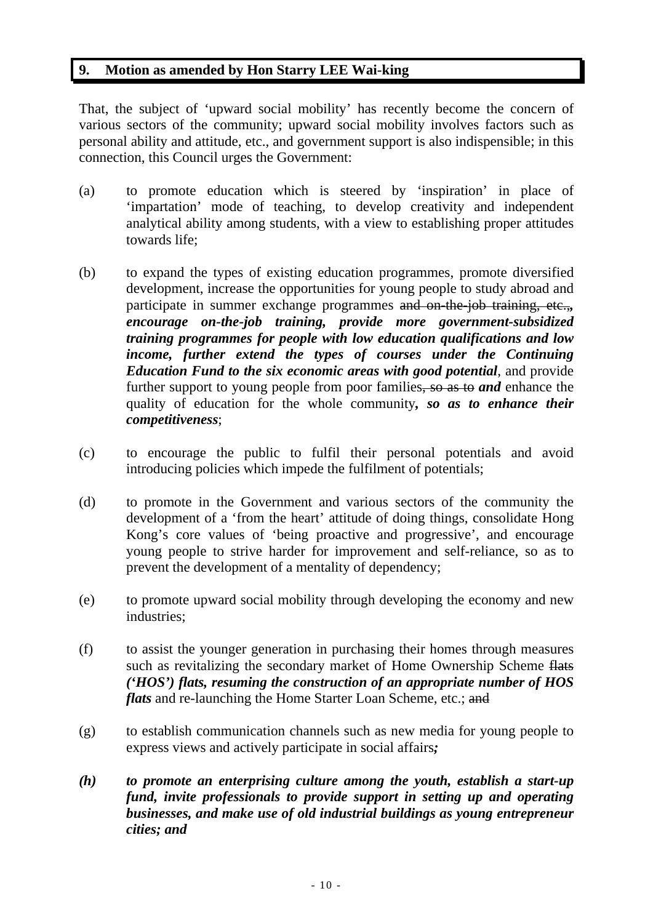# **9. Motion as amended by Hon Starry LEE Wai-king**

That, the subject of 'upward social mobility' has recently become the concern of various sectors of the community; upward social mobility involves factors such as personal ability and attitude, etc., and government support is also indispensible; in this connection, this Council urges the Government:

- (a) to promote education which is steered by 'inspiration' in place of 'impartation' mode of teaching, to develop creativity and independent analytical ability among students, with a view to establishing proper attitudes towards life;
- (b) to expand the types of existing education programmes, promote diversified development, increase the opportunities for young people to study abroad and participate in summer exchange programmes and on-the-job training, etc.,*, encourage on-the-job training, provide more government-subsidized training programmes for people with low education qualifications and low income, further extend the types of courses under the Continuing Education Fund to the six economic areas with good potential*, and provide further support to young people from poor families, so as to *and* enhance the quality of education for the whole community*, so as to enhance their competitiveness*;
- (c) to encourage the public to fulfil their personal potentials and avoid introducing policies which impede the fulfilment of potentials;
- (d) to promote in the Government and various sectors of the community the development of a 'from the heart' attitude of doing things, consolidate Hong Kong's core values of 'being proactive and progressive', and encourage young people to strive harder for improvement and self-reliance, so as to prevent the development of a mentality of dependency;
- (e) to promote upward social mobility through developing the economy and new industries;
- (f) to assist the younger generation in purchasing their homes through measures such as revitalizing the secondary market of Home Ownership Scheme flats *('HOS') flats, resuming the construction of an appropriate number of HOS flats* and re-launching the Home Starter Loan Scheme, etc.; and
- (g) to establish communication channels such as new media for young people to express views and actively participate in social affairs*;*
- *(h) to promote an enterprising culture among the youth, establish a start-up fund, invite professionals to provide support in setting up and operating businesses, and make use of old industrial buildings as young entrepreneur cities; and*